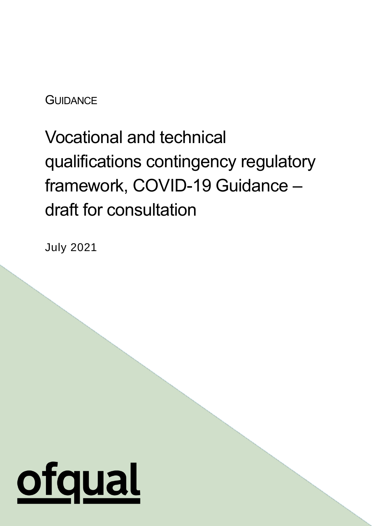**GUIDANCE** 

Vocational and technical qualifications contingency regulatory framework, COVID-19 Guidance – draft for consultation

July 2021

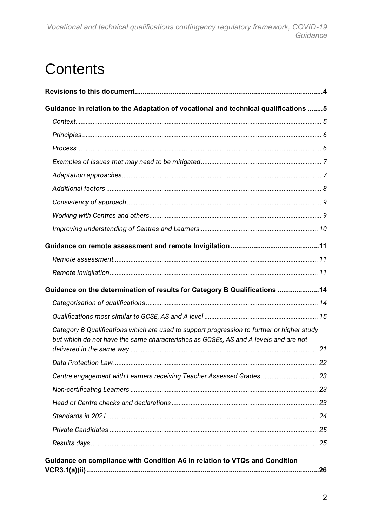## Contents

| Guidance in relation to the Adaptation of vocational and technical qualifications 5                                                                                                |  |
|------------------------------------------------------------------------------------------------------------------------------------------------------------------------------------|--|
|                                                                                                                                                                                    |  |
|                                                                                                                                                                                    |  |
|                                                                                                                                                                                    |  |
|                                                                                                                                                                                    |  |
|                                                                                                                                                                                    |  |
|                                                                                                                                                                                    |  |
|                                                                                                                                                                                    |  |
|                                                                                                                                                                                    |  |
|                                                                                                                                                                                    |  |
|                                                                                                                                                                                    |  |
|                                                                                                                                                                                    |  |
|                                                                                                                                                                                    |  |
| Guidance on the determination of results for Category B Qualifications 14                                                                                                          |  |
|                                                                                                                                                                                    |  |
|                                                                                                                                                                                    |  |
| Category B Qualifications which are used to support progression to further or higher study<br>but which do not have the same characteristics as GCSEs, AS and A levels and are not |  |
|                                                                                                                                                                                    |  |
| Centre engagement with Learners receiving Teacher Assessed Grades 23                                                                                                               |  |
|                                                                                                                                                                                    |  |
|                                                                                                                                                                                    |  |
|                                                                                                                                                                                    |  |
|                                                                                                                                                                                    |  |
|                                                                                                                                                                                    |  |
| Guidance on compliance with Condition A6 in relation to VTQs and Condition                                                                                                         |  |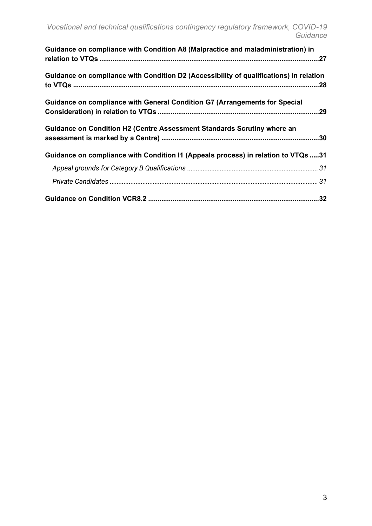| Guidance on compliance with Condition A8 (Malpractice and maladministration) in        |  |
|----------------------------------------------------------------------------------------|--|
| Guidance on compliance with Condition D2 (Accessibility of qualifications) in relation |  |
| Guidance on compliance with General Condition G7 (Arrangements for Special             |  |
| Guidance on Condition H2 (Centre Assessment Standards Scrutiny where an                |  |
| Guidance on compliance with Condition I1 (Appeals process) in relation to VTQs 31      |  |
|                                                                                        |  |
|                                                                                        |  |
|                                                                                        |  |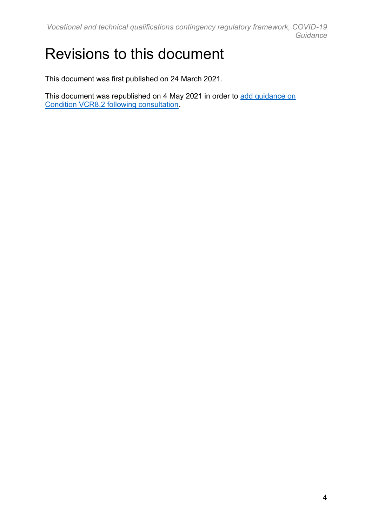*Vocational and technical qualifications contingency regulatory framework, COVID-19 Guidance*

### <span id="page-3-0"></span>Revisions to this document

This document was first published on 24 March 2021.

This document was republished on 4 May 2021 in order to [add guidance on](https://www.gov.uk/government/consultations/consultation-on-autumn-assessment-opportunities-for-vtqs/consultation-on-autumn-assessment-opportunities-for-vtqs)  [Condition VCR8.2 following consultation.](https://www.gov.uk/government/consultations/consultation-on-autumn-assessment-opportunities-for-vtqs/consultation-on-autumn-assessment-opportunities-for-vtqs)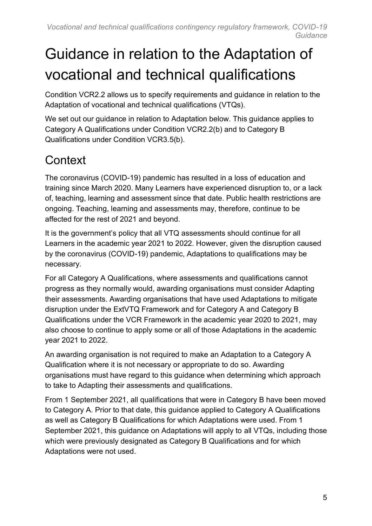# <span id="page-4-0"></span>Guidance in relation to the Adaptation of vocational and technical qualifications

Condition VCR2.2 allows us to specify requirements and guidance in relation to the Adaptation of vocational and technical qualifications (VTQs).

We set out our guidance in relation to Adaptation below. This guidance applies to Category A Qualifications under Condition VCR2.2(b) and to Category B Qualifications under Condition VCR3.5(b).

#### <span id="page-4-1"></span>**Context**

The coronavirus (COVID-19) pandemic has resulted in a loss of education and training since March 2020. Many Learners have experienced disruption to, or a lack of, teaching, learning and assessment since that date. Public health restrictions are ongoing. Teaching, learning and assessments may, therefore, continue to be affected for the rest of 2021 and beyond.

It is the government's policy that all VTQ assessments should continue for all Learners in the academic year 2021 to 2022. However, given the disruption caused by the coronavirus (COVID-19) pandemic, Adaptations to qualifications may be necessary.

For all Category A Qualifications, where assessments and qualifications cannot progress as they normally would, awarding organisations must consider Adapting their assessments. Awarding organisations that have used Adaptations to mitigate disruption under the ExtVTQ Framework and for Category A and Category B Qualifications under the VCR Framework in the academic year 2020 to 2021, may also choose to continue to apply some or all of those Adaptations in the academic year 2021 to 2022.

An awarding organisation is not required to make an Adaptation to a Category A Qualification where it is not necessary or appropriate to do so. Awarding organisations must have regard to this guidance when determining which approach to take to Adapting their assessments and qualifications.

From 1 September 2021, all qualifications that were in Category B have been moved to Category A. Prior to that date, this guidance applied to Category A Qualifications as well as Category B Qualifications for which Adaptations were used. From 1 September 2021, this guidance on Adaptations will apply to all VTQs, including those which were previously designated as Category B Qualifications and for which Adaptations were not used.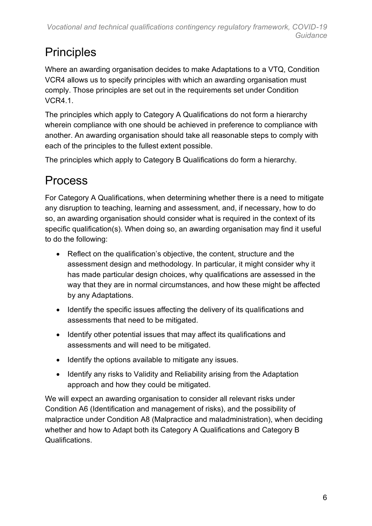#### <span id="page-5-0"></span>**Principles**

Where an awarding organisation decides to make Adaptations to a VTQ, Condition VCR4 allows us to specify principles with which an awarding organisation must comply. Those principles are set out in the requirements set under Condition VCR4.1.

The principles which apply to Category A Qualifications do not form a hierarchy wherein compliance with one should be achieved in preference to compliance with another. An awarding organisation should take all reasonable steps to comply with each of the principles to the fullest extent possible.

The principles which apply to Category B Qualifications do form a hierarchy.

### <span id="page-5-1"></span>Process

For Category A Qualifications, when determining whether there is a need to mitigate any disruption to teaching, learning and assessment, and, if necessary, how to do so, an awarding organisation should consider what is required in the context of its specific qualification(s). When doing so, an awarding organisation may find it useful to do the following:

- Reflect on the qualification's objective, the content, structure and the assessment design and methodology. In particular, it might consider why it has made particular design choices, why qualifications are assessed in the way that they are in normal circumstances, and how these might be affected by any Adaptations.
- Identify the specific issues affecting the delivery of its qualifications and assessments that need to be mitigated.
- Identify other potential issues that may affect its qualifications and assessments and will need to be mitigated.
- Identify the options available to mitigate any issues.
- Identify any risks to Validity and Reliability arising from the Adaptation approach and how they could be mitigated.

We will expect an awarding organisation to consider all relevant risks under Condition A6 (Identification and management of risks), and the possibility of malpractice under Condition A8 (Malpractice and maladministration), when deciding whether and how to Adapt both its Category A Qualifications and Category B Qualifications.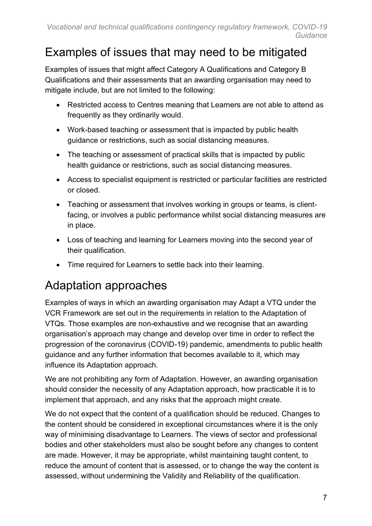#### <span id="page-6-0"></span>Examples of issues that may need to be mitigated

Examples of issues that might affect Category A Qualifications and Category B Qualifications and their assessments that an awarding organisation may need to mitigate include, but are not limited to the following:

- Restricted access to Centres meaning that Learners are not able to attend as frequently as they ordinarily would.
- Work-based teaching or assessment that is impacted by public health guidance or restrictions, such as social distancing measures.
- The teaching or assessment of practical skills that is impacted by public health guidance or restrictions, such as social distancing measures.
- Access to specialist equipment is restricted or particular facilities are restricted or closed.
- Teaching or assessment that involves working in groups or teams, is clientfacing, or involves a public performance whilst social distancing measures are in place.
- Loss of teaching and learning for Learners moving into the second year of their qualification.
- Time required for Learners to settle back into their learning.

#### <span id="page-6-1"></span>Adaptation approaches

Examples of ways in which an awarding organisation may Adapt a VTQ under the VCR Framework are set out in the requirements in relation to the Adaptation of VTQs. Those examples are non-exhaustive and we recognise that an awarding organisation's approach may change and develop over time in order to reflect the progression of the coronavirus (COVID-19) pandemic, amendments to public health guidance and any further information that becomes available to it, which may influence its Adaptation approach.

We are not prohibiting any form of Adaptation. However, an awarding organisation should consider the necessity of any Adaptation approach, how practicable it is to implement that approach, and any risks that the approach might create.

We do not expect that the content of a qualification should be reduced. Changes to the content should be considered in exceptional circumstances where it is the only way of minimising disadvantage to Learners. The views of sector and professional bodies and other stakeholders must also be sought before any changes to content are made. However, it may be appropriate, whilst maintaining taught content, to reduce the amount of content that is assessed, or to change the way the content is assessed, without undermining the Validity and Reliability of the qualification.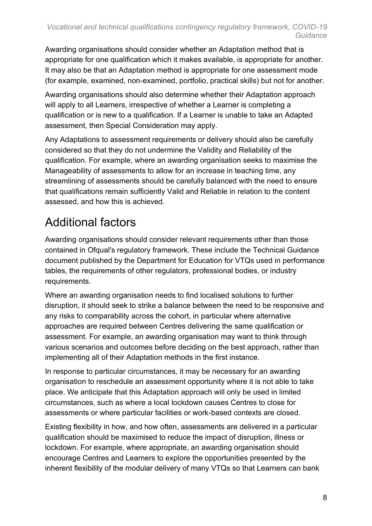Awarding organisations should consider whether an Adaptation method that is appropriate for one qualification which it makes available, is appropriate for another. It may also be that an Adaptation method is appropriate for one assessment mode (for example, examined, non-examined, portfolio, practical skills) but not for another.

Awarding organisations should also determine whether their Adaptation approach will apply to all Learners, irrespective of whether a Learner is completing a qualification or is new to a qualification. If a Learner is unable to take an Adapted assessment, then Special Consideration may apply.

Any Adaptations to assessment requirements or delivery should also be carefully considered so that they do not undermine the Validity and Reliability of the qualification. For example, where an awarding organisation seeks to maximise the Manageability of assessments to allow for an increase in teaching time, any streamlining of assessments should be carefully balanced with the need to ensure that qualifications remain sufficiently Valid and Reliable in relation to the content assessed, and how this is achieved.

### <span id="page-7-0"></span>Additional factors

Awarding organisations should consider relevant requirements other than those contained in Ofqual's regulatory framework. These include the Technical Guidance document published by the Department for Education for VTQs used in performance tables, the requirements of other regulators, professional bodies, or industry requirements.

Where an awarding organisation needs to find localised solutions to further disruption, it should seek to strike a balance between the need to be responsive and any risks to comparability across the cohort, in particular where alternative approaches are required between Centres delivering the same qualification or assessment. For example, an awarding organisation may want to think through various scenarios and outcomes before deciding on the best approach, rather than implementing all of their Adaptation methods in the first instance.

In response to particular circumstances, it may be necessary for an awarding organisation to reschedule an assessment opportunity where it is not able to take place. We anticipate that this Adaptation approach will only be used in limited circumstances, such as where a local lockdown causes Centres to close for assessments or where particular facilities or work-based contexts are closed.

Existing flexibility in how, and how often, assessments are delivered in a particular qualification should be maximised to reduce the impact of disruption, illness or lockdown. For example, where appropriate, an awarding organisation should encourage Centres and Learners to explore the opportunities presented by the inherent flexibility of the modular delivery of many VTQs so that Learners can bank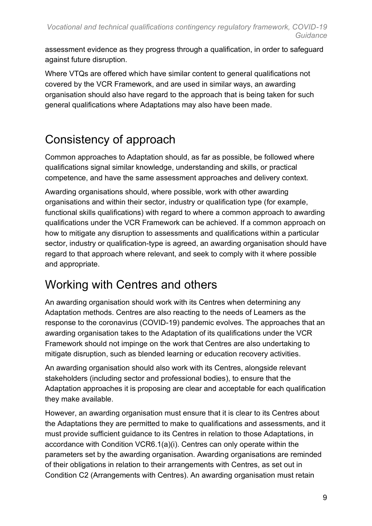assessment evidence as they progress through a qualification, in order to safeguard against future disruption.

Where VTQs are offered which have similar content to general qualifications not covered by the VCR Framework, and are used in similar ways, an awarding organisation should also have regard to the approach that is being taken for such general qualifications where Adaptations may also have been made.

### <span id="page-8-0"></span>Consistency of approach

Common approaches to Adaptation should, as far as possible, be followed where qualifications signal similar knowledge, understanding and skills, or practical competence, and have the same assessment approaches and delivery context.

Awarding organisations should, where possible, work with other awarding organisations and within their sector, industry or qualification type (for example, functional skills qualifications) with regard to where a common approach to awarding qualifications under the VCR Framework can be achieved. If a common approach on how to mitigate any disruption to assessments and qualifications within a particular sector, industry or qualification-type is agreed, an awarding organisation should have regard to that approach where relevant, and seek to comply with it where possible and appropriate.

#### <span id="page-8-1"></span>Working with Centres and others

An awarding organisation should work with its Centres when determining any Adaptation methods. Centres are also reacting to the needs of Learners as the response to the coronavirus (COVID-19) pandemic evolves. The approaches that an awarding organisation takes to the Adaptation of its qualifications under the VCR Framework should not impinge on the work that Centres are also undertaking to mitigate disruption, such as blended learning or education recovery activities.

An awarding organisation should also work with its Centres, alongside relevant stakeholders (including sector and professional bodies), to ensure that the Adaptation approaches it is proposing are clear and acceptable for each qualification they make available.

However, an awarding organisation must ensure that it is clear to its Centres about the Adaptations they are permitted to make to qualifications and assessments, and it must provide sufficient guidance to its Centres in relation to those Adaptations, in accordance with Condition VCR6.1(a)(i). Centres can only operate within the parameters set by the awarding organisation. Awarding organisations are reminded of their obligations in relation to their arrangements with Centres, as set out in Condition C2 (Arrangements with Centres). An awarding organisation must retain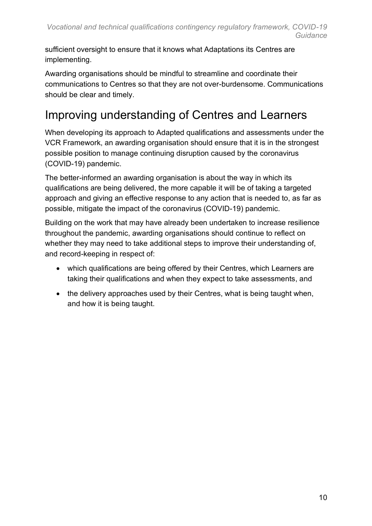sufficient oversight to ensure that it knows what Adaptations its Centres are implementing.

Awarding organisations should be mindful to streamline and coordinate their communications to Centres so that they are not over-burdensome. Communications should be clear and timely.

#### <span id="page-9-0"></span>Improving understanding of Centres and Learners

When developing its approach to Adapted qualifications and assessments under the VCR Framework, an awarding organisation should ensure that it is in the strongest possible position to manage continuing disruption caused by the coronavirus (COVID-19) pandemic.

The better-informed an awarding organisation is about the way in which its qualifications are being delivered, the more capable it will be of taking a targeted approach and giving an effective response to any action that is needed to, as far as possible, mitigate the impact of the coronavirus (COVID-19) pandemic.

Building on the work that may have already been undertaken to increase resilience throughout the pandemic, awarding organisations should continue to reflect on whether they may need to take additional steps to improve their understanding of, and record-keeping in respect of:

- which qualifications are being offered by their Centres, which Learners are taking their qualifications and when they expect to take assessments, and
- the delivery approaches used by their Centres, what is being taught when, and how it is being taught.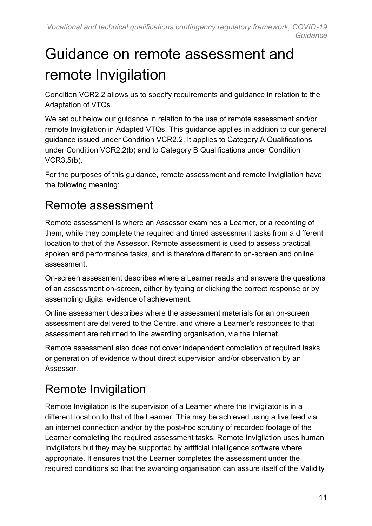# <span id="page-10-0"></span>Guidance on remote assessment and remote Invigilation

Condition VCR2.2 allows us to specify requirements and guidance in relation to the Adaptation of VTQs.

We set out below our guidance in relation to the use of remote assessment and/or remote Invigilation in Adapted VTQs. This guidance applies in addition to our general guidance issued under Condition VCR2.2. It applies to Category A Qualifications under Condition VCR2.2(b) and to Category B Qualifications under Condition VCR3.5(b).

For the purposes of this guidance, remote assessment and remote Invigilation have the following meaning:

#### <span id="page-10-1"></span>Remote assessment

Remote assessment is where an Assessor examines a Learner, or a recording of them, while they complete the required and timed assessment tasks from a different location to that of the Assessor. Remote assessment is used to assess practical, spoken and performance tasks, and is therefore different to on-screen and online assessment.

On-screen assessment describes where a Learner reads and answers the questions of an assessment on-screen, either by typing or clicking the correct response or by assembling digital evidence of achievement.

Online assessment describes where the assessment materials for an on-screen assessment are delivered to the Centre, and where a Learner's responses to that assessment are returned to the awarding organisation, via the internet.

Remote assessment also does not cover independent completion of required tasks or generation of evidence without direct supervision and/or observation by an Assessor.

### <span id="page-10-2"></span>Remote Invigilation

Remote Invigilation is the supervision of a Learner where the Invigilator is in a different location to that of the Learner. This may be achieved using a live feed via an internet connection and/or by the post-hoc scrutiny of recorded footage of the Learner completing the required assessment tasks. Remote Invigilation uses human Invigilators but they may be supported by artificial intelligence software where appropriate. It ensures that the Learner completes the assessment under the required conditions so that the awarding organisation can assure itself of the Validity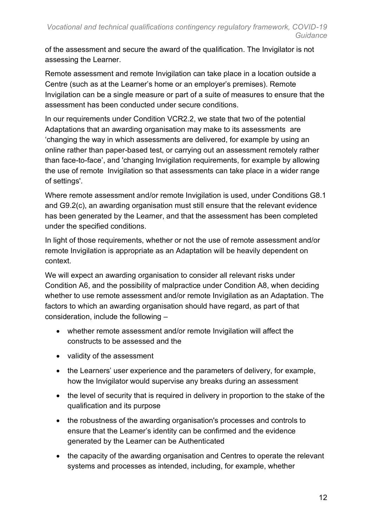of the assessment and secure the award of the qualification. The Invigilator is not assessing the Learner.

Remote assessment and remote Invigilation can take place in a location outside a Centre (such as at the Learner's home or an employer's premises). Remote Invigilation can be a single measure or part of a suite of measures to ensure that the assessment has been conducted under secure conditions.

In our requirements under Condition VCR2.2, we state that two of the potential Adaptations that an awarding organisation may make to its assessments are 'changing the way in which assessments are delivered, for example by using an online rather than paper-based test, or carrying out an assessment remotely rather than face-to-face', and 'changing Invigilation requirements, for example by allowing the use of remote Invigilation so that assessments can take place in a wider range of settings'.

Where remote assessment and/or remote Invigilation is used, under Conditions G8.1 and G9.2(c), an awarding organisation must still ensure that the relevant evidence has been generated by the Learner, and that the assessment has been completed under the specified conditions.

In light of those requirements, whether or not the use of remote assessment and/or remote Invigilation is appropriate as an Adaptation will be heavily dependent on context.

We will expect an awarding organisation to consider all relevant risks under Condition A6, and the possibility of malpractice under Condition A8, when deciding whether to use remote assessment and/or remote Invigilation as an Adaptation. The factors to which an awarding organisation should have regard, as part of that consideration, include the following –

- whether remote assessment and/or remote Invigilation will affect the constructs to be assessed and the
- validity of the assessment
- the Learners' user experience and the parameters of delivery, for example, how the Invigilator would supervise any breaks during an assessment
- the level of security that is required in delivery in proportion to the stake of the qualification and its purpose
- the robustness of the awarding organisation's processes and controls to ensure that the Learner's identity can be confirmed and the evidence generated by the Learner can be Authenticated
- the capacity of the awarding organisation and Centres to operate the relevant systems and processes as intended, including, for example, whether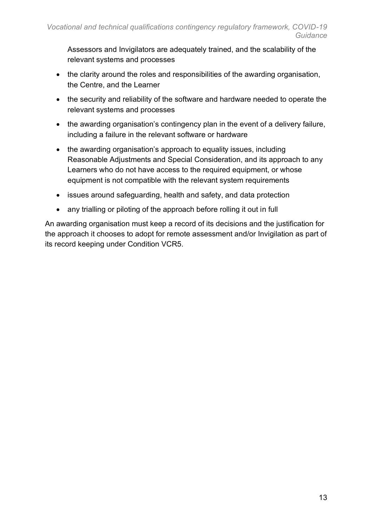Assessors and Invigilators are adequately trained, and the scalability of the relevant systems and processes

- the clarity around the roles and responsibilities of the awarding organisation, the Centre, and the Learner
- the security and reliability of the software and hardware needed to operate the relevant systems and processes
- the awarding organisation's contingency plan in the event of a delivery failure, including a failure in the relevant software or hardware
- the awarding organisation's approach to equality issues, including Reasonable Adjustments and Special Consideration, and its approach to any Learners who do not have access to the required equipment, or whose equipment is not compatible with the relevant system requirements
- issues around safeguarding, health and safety, and data protection
- any trialling or piloting of the approach before rolling it out in full

An awarding organisation must keep a record of its decisions and the justification for the approach it chooses to adopt for remote assessment and/or Invigilation as part of its record keeping under Condition VCR5.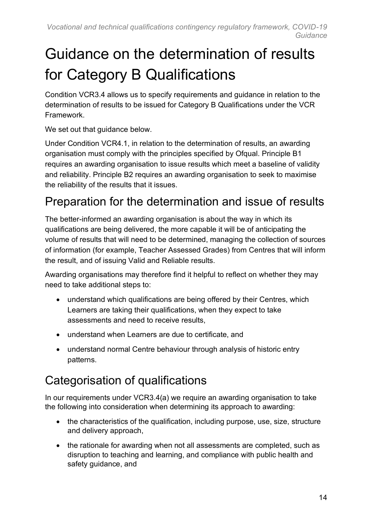# <span id="page-13-0"></span>Guidance on the determination of results for Category B Qualifications

Condition VCR3.4 allows us to specify requirements and guidance in relation to the determination of results to be issued for Category B Qualifications under the VCR Framework.

We set out that quidance below.

Under Condition VCR4.1, in relation to the determination of results, an awarding organisation must comply with the principles specified by Ofqual. Principle B1 requires an awarding organisation to issue results which meet a baseline of validity and reliability. Principle B2 requires an awarding organisation to seek to maximise the reliability of the results that it issues.

#### Preparation for the determination and issue of results

The better-informed an awarding organisation is about the way in which its qualifications are being delivered, the more capable it will be of anticipating the volume of results that will need to be determined, managing the collection of sources of information (for example, Teacher Assessed Grades) from Centres that will inform the result, and of issuing Valid and Reliable results.

Awarding organisations may therefore find it helpful to reflect on whether they may need to take additional steps to:

- understand which qualifications are being offered by their Centres, which Learners are taking their qualifications, when they expect to take assessments and need to receive results,
- understand when Learners are due to certificate, and
- understand normal Centre behaviour through analysis of historic entry patterns.

### <span id="page-13-1"></span>Categorisation of qualifications

In our requirements under VCR3.4(a) we require an awarding organisation to take the following into consideration when determining its approach to awarding:

- the characteristics of the qualification, including purpose, use, size, structure and delivery approach,
- the rationale for awarding when not all assessments are completed, such as disruption to teaching and learning, and compliance with public health and safety guidance, and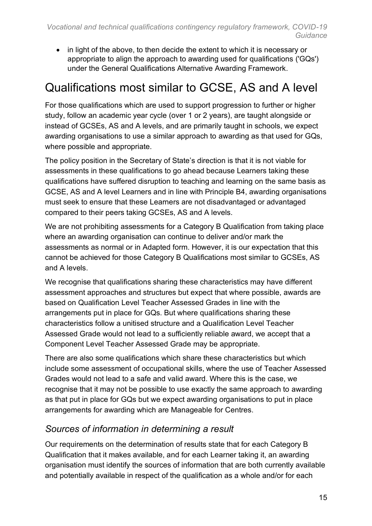• in light of the above, to then decide the extent to which it is necessary or appropriate to align the approach to awarding used for qualifications ('GQs') under the General Qualifications Alternative Awarding Framework.

#### <span id="page-14-0"></span>Qualifications most similar to GCSE, AS and A level

For those qualifications which are used to support progression to further or higher study, follow an academic year cycle (over 1 or 2 years), are taught alongside or instead of GCSEs, AS and A levels, and are primarily taught in schools, we expect awarding organisations to use a similar approach to awarding as that used for GQs, where possible and appropriate.

The policy position in the Secretary of State's direction is that it is not viable for assessments in these qualifications to go ahead because Learners taking these qualifications have suffered disruption to teaching and learning on the same basis as GCSE, AS and A level Learners and in line with Principle B4, awarding organisations must seek to ensure that these Learners are not disadvantaged or advantaged compared to their peers taking GCSEs, AS and A levels.

We are not prohibiting assessments for a Category B Qualification from taking place where an awarding organisation can continue to deliver and/or mark the assessments as normal or in Adapted form. However, it is our expectation that this cannot be achieved for those Category B Qualifications most similar to GCSEs, AS and A levels.

We recognise that qualifications sharing these characteristics may have different assessment approaches and structures but expect that where possible, awards are based on Qualification Level Teacher Assessed Grades in line with the arrangements put in place for GQs. But where qualifications sharing these characteristics follow a unitised structure and a Qualification Level Teacher Assessed Grade would not lead to a sufficiently reliable award, we accept that a Component Level Teacher Assessed Grade may be appropriate.

There are also some qualifications which share these characteristics but which include some assessment of occupational skills, where the use of Teacher Assessed Grades would not lead to a safe and valid award. Where this is the case, we recognise that it may not be possible to use exactly the same approach to awarding as that put in place for GQs but we expect awarding organisations to put in place arrangements for awarding which are Manageable for Centres.

#### *Sources of information in determining a result*

Our requirements on the determination of results state that for each Category B Qualification that it makes available, and for each Learner taking it, an awarding organisation must identify the sources of information that are both currently available and potentially available in respect of the qualification as a whole and/or for each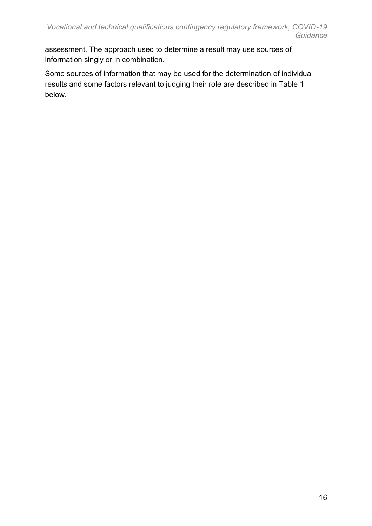assessment. The approach used to determine a result may use sources of information singly or in combination.

Some sources of information that may be used for the determination of individual results and some factors relevant to judging their role are described in Table 1 below.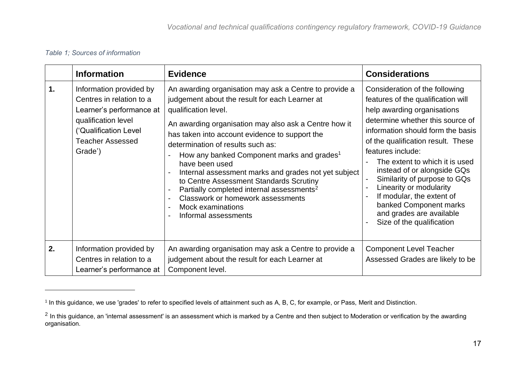#### *Table 1; Sources of information*

|    | <b>Information</b>                                                                                                                                                    | <b>Evidence</b>                                                                                                                                                                                                                                                                                                                                                                                                                                                                                                                                                                                                                                                                                                        | <b>Considerations</b>                                                                                                                                                                                                                                                                                                                                                                                                                                                                                 |
|----|-----------------------------------------------------------------------------------------------------------------------------------------------------------------------|------------------------------------------------------------------------------------------------------------------------------------------------------------------------------------------------------------------------------------------------------------------------------------------------------------------------------------------------------------------------------------------------------------------------------------------------------------------------------------------------------------------------------------------------------------------------------------------------------------------------------------------------------------------------------------------------------------------------|-------------------------------------------------------------------------------------------------------------------------------------------------------------------------------------------------------------------------------------------------------------------------------------------------------------------------------------------------------------------------------------------------------------------------------------------------------------------------------------------------------|
| 1. | Information provided by<br>Centres in relation to a<br>Learner's performance at<br>qualification level<br>('Qualification Level<br><b>Teacher Assessed</b><br>Grade') | An awarding organisation may ask a Centre to provide a<br>judgement about the result for each Learner at<br>qualification level.<br>An awarding organisation may also ask a Centre how it<br>has taken into account evidence to support the<br>determination of results such as:<br>How any banked Component marks and grades <sup>1</sup><br>$\overline{a}$<br>have been used<br>Internal assessment marks and grades not yet subject<br>$\blacksquare$<br>to Centre Assessment Standards Scrutiny<br>Partially completed internal assessments <sup>2</sup><br>$\blacksquare$<br>Classwork or homework assessments<br>$\blacksquare$<br>Mock examinations<br>$\blacksquare$<br>Informal assessments<br>$\blacksquare$ | Consideration of the following<br>features of the qualification will<br>help awarding organisations<br>determine whether this source of<br>information should form the basis<br>of the qualification result. These<br>features include:<br>The extent to which it is used<br>instead of or alongside GQs<br>Similarity of purpose to GQs<br>Linearity or modularity<br>$\overline{a}$<br>If modular, the extent of<br>banked Component marks<br>and grades are available<br>Size of the qualification |
| 2. | Information provided by<br>Centres in relation to a<br>Learner's performance at                                                                                       | An awarding organisation may ask a Centre to provide a<br>judgement about the result for each Learner at<br>Component level.                                                                                                                                                                                                                                                                                                                                                                                                                                                                                                                                                                                           | <b>Component Level Teacher</b><br>Assessed Grades are likely to be                                                                                                                                                                                                                                                                                                                                                                                                                                    |

<sup>1</sup> In this guidance, we use 'grades' to refer to specified levels of attainment such as A, B, C, for example, or Pass, Merit and Distinction.

 $^2$  In this guidance, an 'internal assessment' is an assessment which is marked by a Centre and then subject to Moderation or verification by the awarding organisation.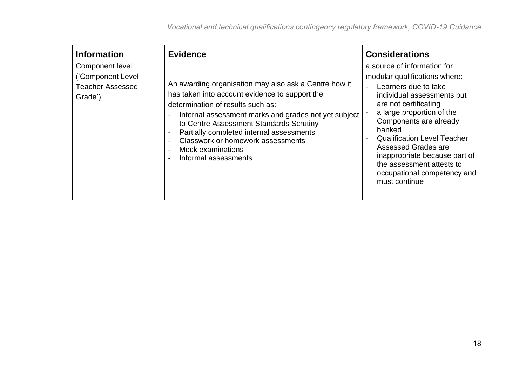| <b>Information</b>                                                         | <b>Evidence</b>                                                                                                                                                                                                                                                                                                                                                                                           | <b>Considerations</b>                                                                                                                                                                                                                                                                                                                                                                          |
|----------------------------------------------------------------------------|-----------------------------------------------------------------------------------------------------------------------------------------------------------------------------------------------------------------------------------------------------------------------------------------------------------------------------------------------------------------------------------------------------------|------------------------------------------------------------------------------------------------------------------------------------------------------------------------------------------------------------------------------------------------------------------------------------------------------------------------------------------------------------------------------------------------|
| Component level<br>('Component Level<br><b>Teacher Assessed</b><br>Grade') | An awarding organisation may also ask a Centre how it<br>has taken into account evidence to support the<br>determination of results such as:<br>Internal assessment marks and grades not yet subject<br>$\overline{\phantom{a}}$<br>to Centre Assessment Standards Scrutiny<br>Partially completed internal assessments<br>Classwork or homework assessments<br>Mock examinations<br>Informal assessments | a source of information for<br>modular qualifications where:<br>Learners due to take<br>individual assessments but<br>are not certificating<br>a large proportion of the<br>Components are already<br>banked<br><b>Qualification Level Teacher</b><br><b>Assessed Grades are</b><br>inappropriate because part of<br>the assessment attests to<br>occupational competency and<br>must continue |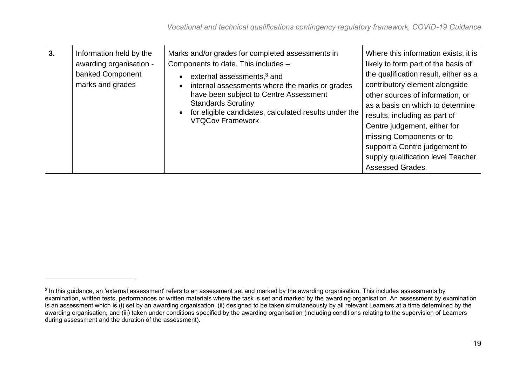| 3. | Information held by the<br>awarding organisation -<br>banked Component<br>marks and grades | Marks and/or grades for completed assessments in<br>Components to date. This includes -<br>external assessments, <sup>3</sup> and<br>$\bullet$<br>internal assessments where the marks or grades<br>$\bullet$<br>have been subject to Centre Assessment<br><b>Standards Scrutiny</b><br>for eligible candidates, calculated results under the<br>$\bullet$<br><b>VTQCov Framework</b> | Where this information exists, it is<br>likely to form part of the basis of<br>the qualification result, either as a<br>contributory element alongside<br>other sources of information, or<br>as a basis on which to determine<br>results, including as part of<br>Centre judgement, either for<br>missing Components or to<br>support a Centre judgement to<br>supply qualification level Teacher<br>Assessed Grades. |
|----|--------------------------------------------------------------------------------------------|---------------------------------------------------------------------------------------------------------------------------------------------------------------------------------------------------------------------------------------------------------------------------------------------------------------------------------------------------------------------------------------|------------------------------------------------------------------------------------------------------------------------------------------------------------------------------------------------------------------------------------------------------------------------------------------------------------------------------------------------------------------------------------------------------------------------|
|----|--------------------------------------------------------------------------------------------|---------------------------------------------------------------------------------------------------------------------------------------------------------------------------------------------------------------------------------------------------------------------------------------------------------------------------------------------------------------------------------------|------------------------------------------------------------------------------------------------------------------------------------------------------------------------------------------------------------------------------------------------------------------------------------------------------------------------------------------------------------------------------------------------------------------------|

 $^{\rm 3}$  In this guidance, an 'external assessment' refers to an assessment set and marked by the awarding organisation. This includes assessments by examination, written tests, performances or written materials where the task is set and marked by the awarding organisation. An assessment by examination is an assessment which is (i) set by an awarding organisation, (ii) designed to be taken simultaneously by all relevant Learners at a time determined by the awarding organisation, and (iii) taken under conditions specified by the awarding organisation (including conditions relating to the supervision of Learners during assessment and the duration of the assessment).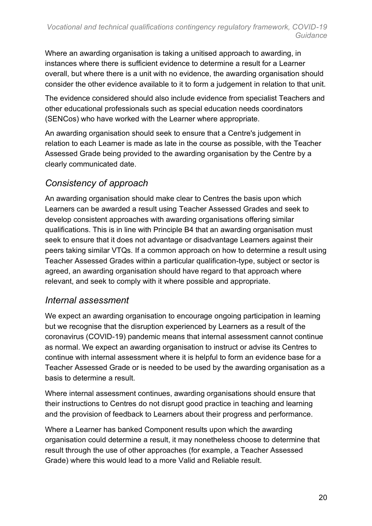Where an awarding organisation is taking a unitised approach to awarding, in instances where there is sufficient evidence to determine a result for a Learner overall, but where there is a unit with no evidence, the awarding organisation should consider the other evidence available to it to form a judgement in relation to that unit.

The evidence considered should also include evidence from specialist Teachers and other educational professionals such as special education needs coordinators (SENCos) who have worked with the Learner where appropriate.

An awarding organisation should seek to ensure that a Centre's judgement in relation to each Learner is made as late in the course as possible, with the Teacher Assessed Grade being provided to the awarding organisation by the Centre by a clearly communicated date.

#### *Consistency of approach*

An awarding organisation should make clear to Centres the basis upon which Learners can be awarded a result using Teacher Assessed Grades and seek to develop consistent approaches with awarding organisations offering similar qualifications. This is in line with Principle B4 that an awarding organisation must seek to ensure that it does not advantage or disadvantage Learners against their peers taking similar VTQs. If a common approach on how to determine a result using Teacher Assessed Grades within a particular qualification-type, subject or sector is agreed, an awarding organisation should have regard to that approach where relevant, and seek to comply with it where possible and appropriate.

#### *Internal assessment*

We expect an awarding organisation to encourage ongoing participation in learning but we recognise that the disruption experienced by Learners as a result of the coronavirus (COVID-19) pandemic means that internal assessment cannot continue as normal. We expect an awarding organisation to instruct or advise its Centres to continue with internal assessment where it is helpful to form an evidence base for a Teacher Assessed Grade or is needed to be used by the awarding organisation as a basis to determine a result.

Where internal assessment continues, awarding organisations should ensure that their instructions to Centres do not disrupt good practice in teaching and learning and the provision of feedback to Learners about their progress and performance.

Where a Learner has banked Component results upon which the awarding organisation could determine a result, it may nonetheless choose to determine that result through the use of other approaches (for example, a Teacher Assessed Grade) where this would lead to a more Valid and Reliable result.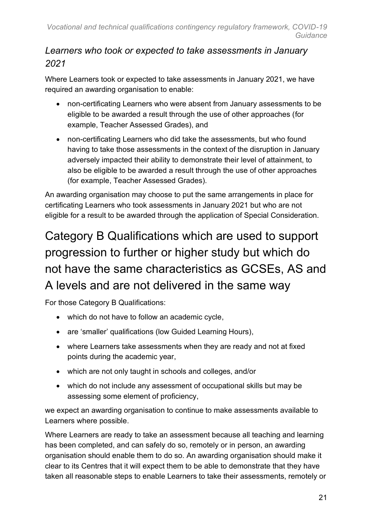#### *Learners who took or expected to take assessments in January 2021*

Where Learners took or expected to take assessments in January 2021, we have required an awarding organisation to enable:

- non-certificating Learners who were absent from January assessments to be eligible to be awarded a result through the use of other approaches (for example, Teacher Assessed Grades), and
- non-certificating Learners who did take the assessments, but who found having to take those assessments in the context of the disruption in January adversely impacted their ability to demonstrate their level of attainment, to also be eligible to be awarded a result through the use of other approaches (for example, Teacher Assessed Grades).

An awarding organisation may choose to put the same arrangements in place for certificating Learners who took assessments in January 2021 but who are not eligible for a result to be awarded through the application of Special Consideration.

### <span id="page-20-0"></span>Category B Qualifications which are used to support progression to further or higher study but which do not have the same characteristics as GCSEs, AS and A levels and are not delivered in the same way

For those Category B Qualifications:

- which do not have to follow an academic cycle,
- are 'smaller' qualifications (low Guided Learning Hours),
- where Learners take assessments when they are ready and not at fixed points during the academic year,
- which are not only taught in schools and colleges, and/or
- which do not include any assessment of occupational skills but may be assessing some element of proficiency,

we expect an awarding organisation to continue to make assessments available to Learners where possible.

Where Learners are ready to take an assessment because all teaching and learning has been completed, and can safely do so, remotely or in person, an awarding organisation should enable them to do so. An awarding organisation should make it clear to its Centres that it will expect them to be able to demonstrate that they have taken all reasonable steps to enable Learners to take their assessments, remotely or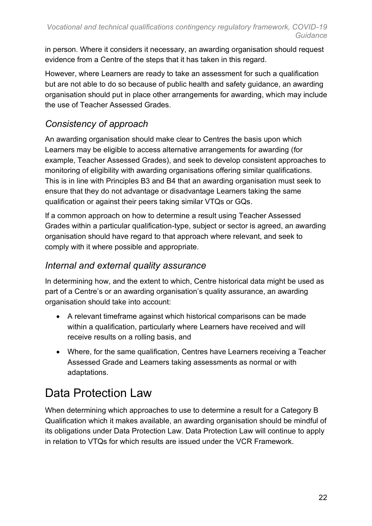in person. Where it considers it necessary, an awarding organisation should request evidence from a Centre of the steps that it has taken in this regard.

However, where Learners are ready to take an assessment for such a qualification but are not able to do so because of public health and safety guidance, an awarding organisation should put in place other arrangements for awarding, which may include the use of Teacher Assessed Grades.

#### *Consistency of approach*

An awarding organisation should make clear to Centres the basis upon which Learners may be eligible to access alternative arrangements for awarding (for example, Teacher Assessed Grades), and seek to develop consistent approaches to monitoring of eligibility with awarding organisations offering similar qualifications. This is in line with Principles B3 and B4 that an awarding organisation must seek to ensure that they do not advantage or disadvantage Learners taking the same qualification or against their peers taking similar VTQs or GQs.

If a common approach on how to determine a result using Teacher Assessed Grades within a particular qualification-type, subject or sector is agreed, an awarding organisation should have regard to that approach where relevant, and seek to comply with it where possible and appropriate.

#### *Internal and external quality assurance*

In determining how, and the extent to which, Centre historical data might be used as part of a Centre's or an awarding organisation's quality assurance, an awarding organisation should take into account:

- A relevant timeframe against which historical comparisons can be made within a qualification, particularly where Learners have received and will receive results on a rolling basis, and
- Where, for the same qualification, Centres have Learners receiving a Teacher Assessed Grade and Learners taking assessments as normal or with adaptations.

#### <span id="page-21-0"></span>Data Protection Law

When determining which approaches to use to determine a result for a Category B Qualification which it makes available, an awarding organisation should be mindful of its obligations under Data Protection Law. Data Protection Law will continue to apply in relation to VTQs for which results are issued under the VCR Framework.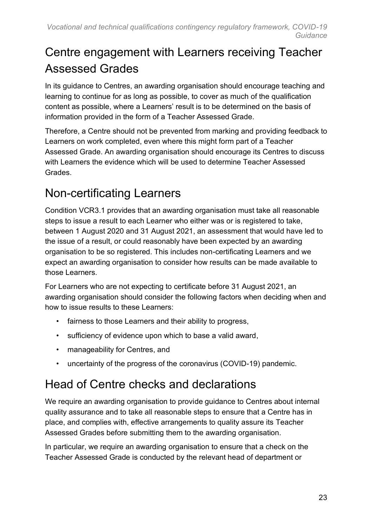#### <span id="page-22-0"></span>Centre engagement with Learners receiving Teacher Assessed Grades

In its guidance to Centres, an awarding organisation should encourage teaching and learning to continue for as long as possible, to cover as much of the qualification content as possible, where a Learners' result is to be determined on the basis of information provided in the form of a Teacher Assessed Grade.

Therefore, a Centre should not be prevented from marking and providing feedback to Learners on work completed, even where this might form part of a Teacher Assessed Grade. An awarding organisation should encourage its Centres to discuss with Learners the evidence which will be used to determine Teacher Assessed **Grades** 

#### <span id="page-22-1"></span>Non-certificating Learners

Condition VCR3.1 provides that an awarding organisation must take all reasonable steps to issue a result to each Learner who either was or is registered to take, between 1 August 2020 and 31 August 2021, an assessment that would have led to the issue of a result, or could reasonably have been expected by an awarding organisation to be so registered. This includes non-certificating Learners and we expect an awarding organisation to consider how results can be made available to those Learners.

For Learners who are not expecting to certificate before 31 August 2021, an awarding organisation should consider the following factors when deciding when and how to issue results to these Learners:

- fairness to those Learners and their ability to progress,
- sufficiency of evidence upon which to base a valid award,
- manageability for Centres, and
- uncertainty of the progress of the coronavirus (COVID-19) pandemic.

#### <span id="page-22-2"></span>Head of Centre checks and declarations

We require an awarding organisation to provide guidance to Centres about internal quality assurance and to take all reasonable steps to ensure that a Centre has in place, and complies with, effective arrangements to quality assure its Teacher Assessed Grades before submitting them to the awarding organisation.

In particular, we require an awarding organisation to ensure that a check on the Teacher Assessed Grade is conducted by the relevant head of department or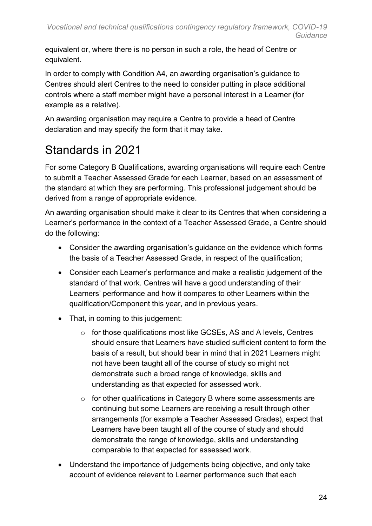equivalent or, where there is no person in such a role, the head of Centre or equivalent.

In order to comply with Condition A4, an awarding organisation's guidance to Centres should alert Centres to the need to consider putting in place additional controls where a staff member might have a personal interest in a Learner (for example as a relative).

An awarding organisation may require a Centre to provide a head of Centre declaration and may specify the form that it may take.

### <span id="page-23-0"></span>Standards in 2021

For some Category B Qualifications, awarding organisations will require each Centre to submit a Teacher Assessed Grade for each Learner, based on an assessment of the standard at which they are performing. This professional judgement should be derived from a range of appropriate evidence.

An awarding organisation should make it clear to its Centres that when considering a Learner's performance in the context of a Teacher Assessed Grade, a Centre should do the following:

- Consider the awarding organisation's guidance on the evidence which forms the basis of a Teacher Assessed Grade, in respect of the qualification;
- Consider each Learner's performance and make a realistic judgement of the standard of that work. Centres will have a good understanding of their Learners' performance and how it compares to other Learners within the qualification/Component this year, and in previous years.
- That, in coming to this judgement:
	- o for those qualifications most like GCSEs, AS and A levels, Centres should ensure that Learners have studied sufficient content to form the basis of a result, but should bear in mind that in 2021 Learners might not have been taught all of the course of study so might not demonstrate such a broad range of knowledge, skills and understanding as that expected for assessed work.
	- $\circ$  for other qualifications in Category B where some assessments are continuing but some Learners are receiving a result through other arrangements (for example a Teacher Assessed Grades), expect that Learners have been taught all of the course of study and should demonstrate the range of knowledge, skills and understanding comparable to that expected for assessed work.
- Understand the importance of judgements being objective, and only take account of evidence relevant to Learner performance such that each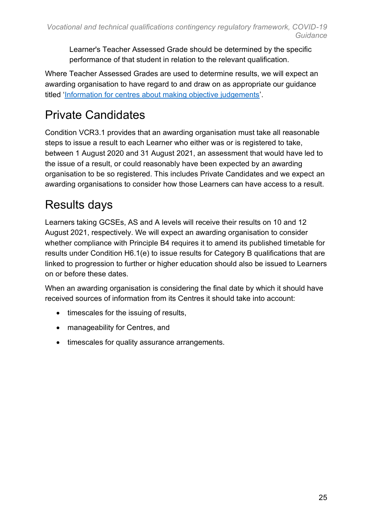Learner's Teacher Assessed Grade should be determined by the specific performance of that student in relation to the relevant qualification.

Where Teacher Assessed Grades are used to determine results, we will expect an awarding organisation to have regard to and draw on as appropriate our guidance titled ['Information for centres about making objective judgements'](https://www.gov.uk/government/publications/information-for-centres-about-making-objective-judgements).

### <span id="page-24-0"></span>Private Candidates

Condition VCR3.1 provides that an awarding organisation must take all reasonable steps to issue a result to each Learner who either was or is registered to take, between 1 August 2020 and 31 August 2021, an assessment that would have led to the issue of a result, or could reasonably have been expected by an awarding organisation to be so registered. This includes Private Candidates and we expect an awarding organisations to consider how those Learners can have access to a result.

#### <span id="page-24-1"></span>Results days

Learners taking GCSEs, AS and A levels will receive their results on 10 and 12 August 2021, respectively. We will expect an awarding organisation to consider whether compliance with Principle B4 requires it to amend its published timetable for results under Condition H6.1(e) to issue results for Category B qualifications that are linked to progression to further or higher education should also be issued to Learners on or before these dates.

When an awarding organisation is considering the final date by which it should have received sources of information from its Centres it should take into account:

- timescales for the issuing of results,
- manageability for Centres, and
- timescales for quality assurance arrangements.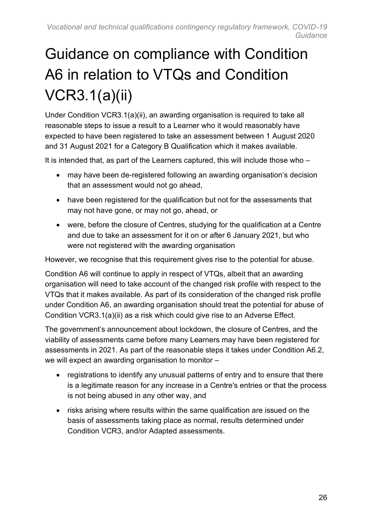# <span id="page-25-0"></span>Guidance on compliance with Condition A6 in relation to VTQs and Condition VCR3.1(a)(ii)

Under Condition VCR3.1(a)(ii), an awarding organisation is required to take all reasonable steps to issue a result to a Learner who it would reasonably have expected to have been registered to take an assessment between 1 August 2020 and 31 August 2021 for a Category B Qualification which it makes available.

It is intended that, as part of the Learners captured, this will include those who –

- may have been de-registered following an awarding organisation's decision that an assessment would not go ahead,
- have been registered for the qualification but not for the assessments that may not have gone, or may not go, ahead, or
- were, before the closure of Centres, studying for the qualification at a Centre and due to take an assessment for it on or after 6 January 2021, but who were not registered with the awarding organisation

However, we recognise that this requirement gives rise to the potential for abuse.

Condition A6 will continue to apply in respect of VTQs, albeit that an awarding organisation will need to take account of the changed risk profile with respect to the VTQs that it makes available. As part of its consideration of the changed risk profile under Condition A6, an awarding organisation should treat the potential for abuse of Condition VCR3.1(a)(ii) as a risk which could give rise to an Adverse Effect.

The government's announcement about lockdown, the closure of Centres, and the viability of assessments came before many Learners may have been registered for assessments in 2021. As part of the reasonable steps it takes under Condition A6.2, we will expect an awarding organisation to monitor –

- registrations to identify any unusual patterns of entry and to ensure that there is a legitimate reason for any increase in a Centre's entries or that the process is not being abused in any other way, and
- risks arising where results within the same qualification are issued on the basis of assessments taking place as normal, results determined under Condition VCR3, and/or Adapted assessments.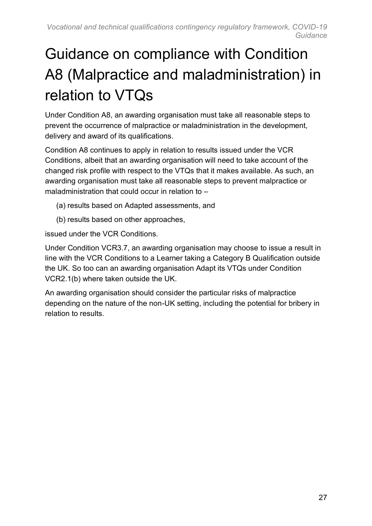# <span id="page-26-0"></span>Guidance on compliance with Condition A8 (Malpractice and maladministration) in relation to VTQs

Under Condition A8, an awarding organisation must take all reasonable steps to prevent the occurrence of malpractice or maladministration in the development, delivery and award of its qualifications.

Condition A8 continues to apply in relation to results issued under the VCR Conditions, albeit that an awarding organisation will need to take account of the changed risk profile with respect to the VTQs that it makes available. As such, an awarding organisation must take all reasonable steps to prevent malpractice or maladministration that could occur in relation to –

- (a) results based on Adapted assessments, and
- (b) results based on other approaches,

issued under the VCR Conditions.

Under Condition VCR3.7, an awarding organisation may choose to issue a result in line with the VCR Conditions to a Learner taking a Category B Qualification outside the UK. So too can an awarding organisation Adapt its VTQs under Condition VCR2.1(b) where taken outside the UK.

An awarding organisation should consider the particular risks of malpractice depending on the nature of the non-UK setting, including the potential for bribery in relation to results.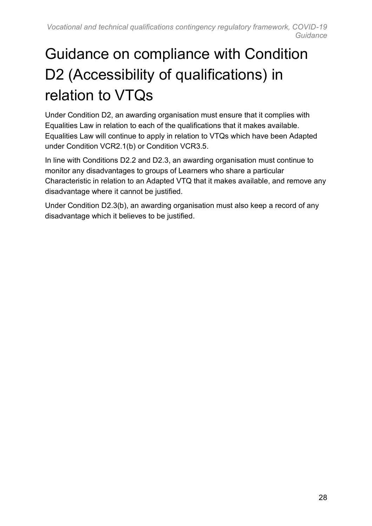# <span id="page-27-0"></span>Guidance on compliance with Condition D2 (Accessibility of qualifications) in relation to VTQs

Under Condition D2, an awarding organisation must ensure that it complies with Equalities Law in relation to each of the qualifications that it makes available. Equalities Law will continue to apply in relation to VTQs which have been Adapted under Condition VCR2.1(b) or Condition VCR3.5.

In line with Conditions D2.2 and D2.3, an awarding organisation must continue to monitor any disadvantages to groups of Learners who share a particular Characteristic in relation to an Adapted VTQ that it makes available, and remove any disadvantage where it cannot be justified.

Under Condition D2.3(b), an awarding organisation must also keep a record of any disadvantage which it believes to be justified.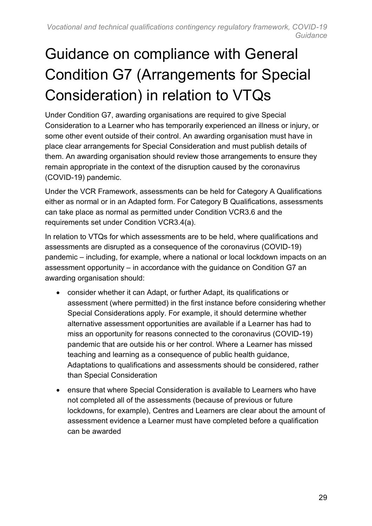# <span id="page-28-0"></span>Guidance on compliance with General Condition G7 (Arrangements for Special Consideration) in relation to VTQs

Under Condition G7, awarding organisations are required to give Special Consideration to a Learner who has temporarily experienced an illness or injury, or some other event outside of their control. An awarding organisation must have in place clear arrangements for Special Consideration and must publish details of them. An awarding organisation should review those arrangements to ensure they remain appropriate in the context of the disruption caused by the coronavirus (COVID-19) pandemic.

Under the VCR Framework, assessments can be held for Category A Qualifications either as normal or in an Adapted form. For Category B Qualifications, assessments can take place as normal as permitted under Condition VCR3.6 and the requirements set under Condition VCR3.4(a).

In relation to VTQs for which assessments are to be held, where qualifications and assessments are disrupted as a consequence of the coronavirus (COVID-19) pandemic – including, for example, where a national or local lockdown impacts on an assessment opportunity – in accordance with the guidance on Condition G7 an awarding organisation should:

- consider whether it can Adapt, or further Adapt, its qualifications or assessment (where permitted) in the first instance before considering whether Special Considerations apply. For example, it should determine whether alternative assessment opportunities are available if a Learner has had to miss an opportunity for reasons connected to the coronavirus (COVID-19) pandemic that are outside his or her control. Where a Learner has missed teaching and learning as a consequence of public health guidance, Adaptations to qualifications and assessments should be considered, rather than Special Consideration
- ensure that where Special Consideration is available to Learners who have not completed all of the assessments (because of previous or future lockdowns, for example), Centres and Learners are clear about the amount of assessment evidence a Learner must have completed before a qualification can be awarded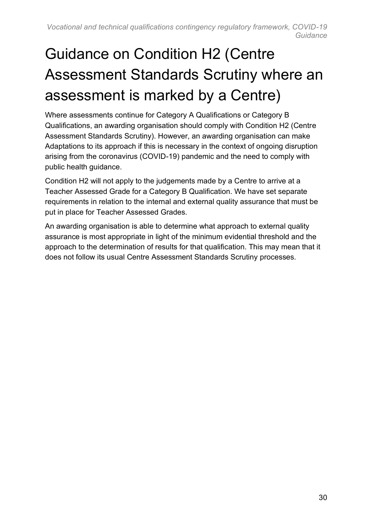# <span id="page-29-0"></span>Guidance on Condition H2 (Centre Assessment Standards Scrutiny where an assessment is marked by a Centre)

Where assessments continue for Category A Qualifications or Category B Qualifications, an awarding organisation should comply with Condition H2 (Centre Assessment Standards Scrutiny). However, an awarding organisation can make Adaptations to its approach if this is necessary in the context of ongoing disruption arising from the coronavirus (COVID-19) pandemic and the need to comply with public health guidance.

Condition H2 will not apply to the judgements made by a Centre to arrive at a Teacher Assessed Grade for a Category B Qualification. We have set separate requirements in relation to the internal and external quality assurance that must be put in place for Teacher Assessed Grades.

An awarding organisation is able to determine what approach to external quality assurance is most appropriate in light of the minimum evidential threshold and the approach to the determination of results for that qualification. This may mean that it does not follow its usual Centre Assessment Standards Scrutiny processes.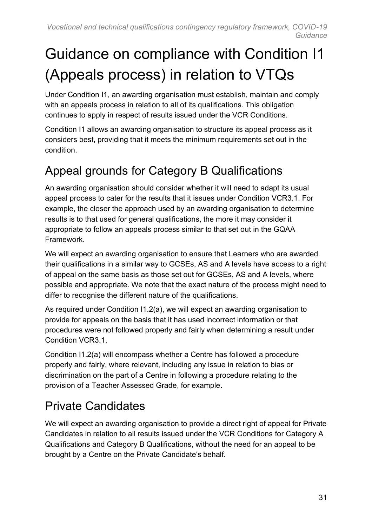# <span id="page-30-0"></span>Guidance on compliance with Condition I1 (Appeals process) in relation to VTQs

Under Condition I1, an awarding organisation must establish, maintain and comply with an appeals process in relation to all of its qualifications. This obligation continues to apply in respect of results issued under the VCR Conditions.

Condition I1 allows an awarding organisation to structure its appeal process as it considers best, providing that it meets the minimum requirements set out in the condition.

#### <span id="page-30-1"></span>Appeal grounds for Category B Qualifications

An awarding organisation should consider whether it will need to adapt its usual appeal process to cater for the results that it issues under Condition VCR3.1. For example, the closer the approach used by an awarding organisation to determine results is to that used for general qualifications, the more it may consider it appropriate to follow an appeals process similar to that set out in the GQAA Framework.

We will expect an awarding organisation to ensure that Learners who are awarded their qualifications in a similar way to GCSEs, AS and A levels have access to a right of appeal on the same basis as those set out for GCSEs, AS and A levels, where possible and appropriate. We note that the exact nature of the process might need to differ to recognise the different nature of the qualifications.

As required under Condition I1.2(a), we will expect an awarding organisation to provide for appeals on the basis that it has used incorrect information or that procedures were not followed properly and fairly when determining a result under Condition VCR3.1.

Condition I1.2(a) will encompass whether a Centre has followed a procedure properly and fairly, where relevant, including any issue in relation to bias or discrimination on the part of a Centre in following a procedure relating to the provision of a Teacher Assessed Grade, for example.

#### <span id="page-30-2"></span>Private Candidates

We will expect an awarding organisation to provide a direct right of appeal for Private Candidates in relation to all results issued under the VCR Conditions for Category A Qualifications and Category B Qualifications, without the need for an appeal to be brought by a Centre on the Private Candidate's behalf.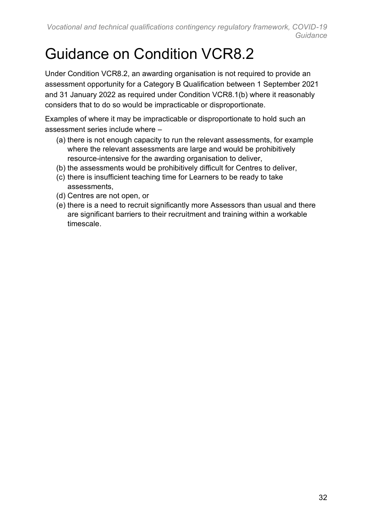## <span id="page-31-0"></span>Guidance on Condition VCR8.2

Under Condition VCR8.2, an awarding organisation is not required to provide an assessment opportunity for a Category B Qualification between 1 September 2021 and 31 January 2022 as required under Condition VCR8.1(b) where it reasonably considers that to do so would be impracticable or disproportionate.

Examples of where it may be impracticable or disproportionate to hold such an assessment series include where –

- (a) there is not enough capacity to run the relevant assessments, for example where the relevant assessments are large and would be prohibitively resource-intensive for the awarding organisation to deliver,
- (b) the assessments would be prohibitively difficult for Centres to deliver,
- (c) there is insufficient teaching time for Learners to be ready to take assessments,
- (d) Centres are not open, or
- (e) there is a need to recruit significantly more Assessors than usual and there are significant barriers to their recruitment and training within a workable timescale.